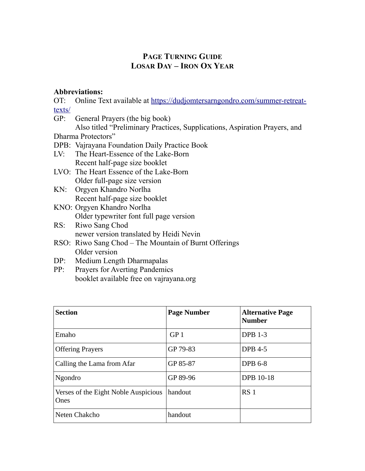## **PAGE TURNING GUIDE LOSAR DAY – IRON OX YEAR**

## **Abbreviations:**

OT: Online Text available at [https://dudjomtersarngondro.com/summer-retreat](https://dudjomtersarngondro.com/summer-retreat-texts/)[texts/](https://dudjomtersarngondro.com/summer-retreat-texts/)

- GP: General Prayers (the big book) Also titled "Preliminary Practices, Supplications, Aspiration Prayers, and Dharma Protectors" DPB: Vajrayana Foundation Daily Practice Book LV: The Heart-Essence of the Lake-Born Recent half-page size booklet LVO: The Heart Essence of the Lake-Born Older full-page size version KN: Orgyen Khandro Norlha Recent half-page size booklet KNO: Orgyen Khandro Norlha Older typewriter font full page version
- RS: Riwo Sang Chod newer version translated by Heidi Nevin
- RSO: Riwo Sang Chod The Mountain of Burnt Offerings Older version
- DP: Medium Length Dharmapalas
- PP: Prayers for Averting Pandemics booklet available free on vajrayana.org

| <b>Section</b>                                      | <b>Page Number</b> | <b>Alternative Page</b><br><b>Number</b> |
|-----------------------------------------------------|--------------------|------------------------------------------|
| Emaho                                               | GP <sub>1</sub>    | <b>DPB 1-3</b>                           |
| <b>Offering Prayers</b>                             | GP 79-83           | <b>DPB 4-5</b>                           |
| Calling the Lama from Afar                          | GP 85-87           | <b>DPB 6-8</b>                           |
| Ngondro                                             | GP 89-96           | <b>DPB 10-18</b>                         |
| Verses of the Eight Noble Auspicious<br><b>Ones</b> | handout            | RS <sub>1</sub>                          |
| Neten Chakcho                                       | handout            |                                          |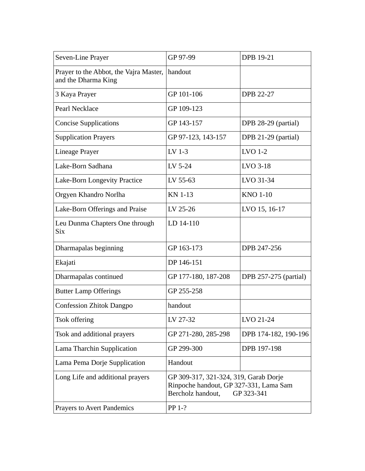| Seven-Line Prayer                                             | GP 97-99                                                                                                           | <b>DPB 19-21</b>             |
|---------------------------------------------------------------|--------------------------------------------------------------------------------------------------------------------|------------------------------|
| Prayer to the Abbot, the Vajra Master,<br>and the Dharma King | handout                                                                                                            |                              |
| 3 Kaya Prayer                                                 | GP 101-106                                                                                                         | <b>DPB 22-27</b>             |
| Pearl Necklace                                                | GP 109-123                                                                                                         |                              |
| <b>Concise Supplications</b>                                  | GP 143-157                                                                                                         | DPB 28-29 (partial)          |
| <b>Supplication Prayers</b>                                   | GP 97-123, 143-157                                                                                                 | DPB 21-29 (partial)          |
| <b>Lineage Prayer</b>                                         | LV 1-3                                                                                                             | LVO 1-2                      |
| Lake-Born Sadhana                                             | LV 5-24                                                                                                            | LVO 3-18                     |
| Lake-Born Longevity Practice                                  | LV 55-63                                                                                                           | LVO 31-34                    |
| Orgyen Khandro Norlha                                         | <b>KN 1-13</b>                                                                                                     | <b>KNO 1-10</b>              |
| Lake-Born Offerings and Praise                                | LV 25-26                                                                                                           | LVO 15, 16-17                |
| Leu Dunma Chapters One through<br><b>Six</b>                  | LD 14-110                                                                                                          |                              |
| Dharmapalas beginning                                         | GP 163-173                                                                                                         | DPB 247-256                  |
| Ekajati                                                       | DP 146-151                                                                                                         |                              |
| Dharmapalas continued                                         | GP 177-180, 187-208                                                                                                | <b>DPB</b> 257-275 (partial) |
| <b>Butter Lamp Offerings</b>                                  | GP 255-258                                                                                                         |                              |
| <b>Confession Zhitok Dangpo</b>                               | handout                                                                                                            |                              |
| <b>Tsok offering</b>                                          | LV 27-32                                                                                                           | LVO 21-24                    |
| Tsok and additional prayers                                   | GP 271-280, 285-298                                                                                                | DPB 174-182, 190-196         |
| Lama Tharchin Supplication                                    | GP 299-300                                                                                                         | DPB 197-198                  |
| Lama Pema Dorje Supplication                                  | Handout                                                                                                            |                              |
| Long Life and additional prayers                              | GP 309-317, 321-324, 319, Garab Dorje<br>Rinpoche handout, GP 327-331, Lama Sam<br>Bercholz handout,<br>GP 323-341 |                              |
| <b>Prayers to Avert Pandemics</b>                             | PP 1-?                                                                                                             |                              |